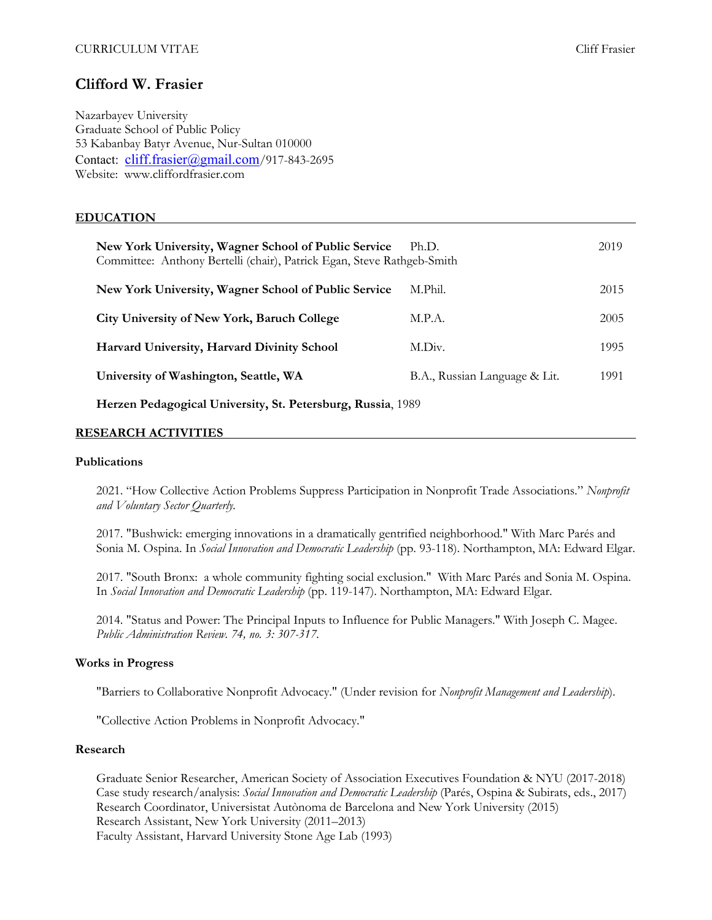# **Clifford W. Frasier**

Nazarbayev University Graduate School of Public Policy 53 Kabanbay Batyr Avenue, Nur-Sultan 010000 Contact: cliff.frasier@gmail.com/917-843-2695 Website: www.cliffordfrasier.com

# **EDUCATION**

| New York University, Wagner School of Public Service<br>Committee: Anthony Bertelli (chair), Patrick Egan, Steve Rathgeb-Smith | Ph.D.                         | 2019 |
|--------------------------------------------------------------------------------------------------------------------------------|-------------------------------|------|
| New York University, Wagner School of Public Service                                                                           | M.Phil.                       | 2015 |
| City University of New York, Baruch College                                                                                    | M.P.A.                        | 2005 |
| Harvard University, Harvard Divinity School                                                                                    | M.Div.                        | 1995 |
| University of Washington, Seattle, WA                                                                                          | B.A., Russian Language & Lit. | 1991 |

**Herzen Pedagogical University, St. Petersburg, Russia**, 1989

# **RESEARCH ACTIVITIES**

### **Publications**

2021. "How Collective Action Problems Suppress Participation in Nonprofit Trade Associations." *Nonprofit and Voluntary Sector Quarterly.*

2017. "Bushwick: emerging innovations in a dramatically gentrified neighborhood." With Marc Parés and Sonia M. Ospina. In *Social Innovation and Democratic Leadership* (pp. 93-118). Northampton, MA: Edward Elgar.

2017. "South Bronx: a whole community fighting social exclusion." With Marc Parés and Sonia M. Ospina. In *Social Innovation and Democratic Leadership* (pp. 119-147). Northampton, MA: Edward Elgar.

2014. "Status and Power: The Principal Inputs to Influence for Public Managers." With Joseph C. Magee. *Public Administration Review. 74, no. 3: 307-317.*

# **Works in Progress**

"Barriers to Collaborative Nonprofit Advocacy." (Under revision for *Nonprofit Management and Leadership*).

"Collective Action Problems in Nonprofit Advocacy."

### **Research**

Graduate Senior Researcher, American Society of Association Executives Foundation & NYU (2017-2018) Case study research/analysis: *Social Innovation and Democratic Leadership* (Parés, Ospina & Subirats, eds., 2017) Research Coordinator, Universistat Autònoma de Barcelona and New York University (2015) Research Assistant, New York University (2011–2013) Faculty Assistant, Harvard University Stone Age Lab (1993)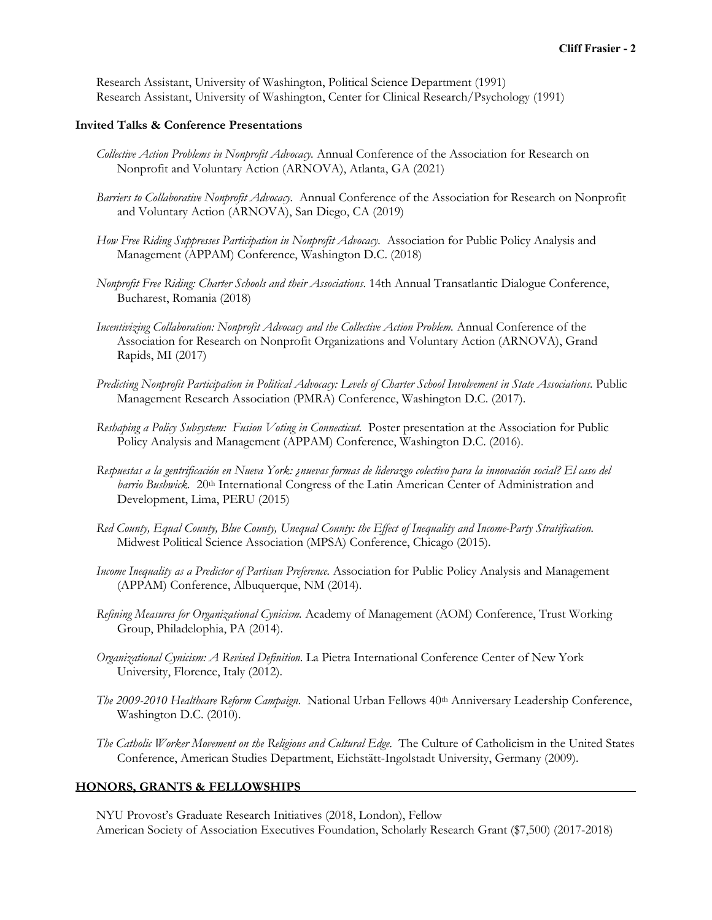Research Assistant, University of Washington, Political Science Department (1991) Research Assistant, University of Washington, Center for Clinical Research/Psychology (1991)

### **Invited Talks & Conference Presentations**

- *Collective Action Problems in Nonprofit Advocacy.* Annual Conference of the Association for Research on Nonprofit and Voluntary Action (ARNOVA), Atlanta, GA (2021)
- *Barriers to Collaborative Nonprofit Advocacy.* Annual Conference of the Association for Research on Nonprofit and Voluntary Action (ARNOVA), San Diego, CA (2019)
- *How Free Riding Suppresses Participation in Nonprofit Advocacy.* Association for Public Policy Analysis and Management (APPAM) Conference, Washington D.C. (2018)
- *Nonprofit Free Riding: Charter Schools and their Associations*. 14th Annual Transatlantic Dialogue Conference, Bucharest, Romania (2018)
- *Incentivizing Collaboration: Nonprofit Advocacy and the Collective Action Problem.* Annual Conference of the Association for Research on Nonprofit Organizations and Voluntary Action (ARNOVA), Grand Rapids, MI (2017)
- *Predicting Nonprofit Participation in Political Advocacy: Levels of Charter School Involvement in State Associations*. Public Management Research Association (PMRA) Conference, Washington D.C. (2017).
- *Reshaping a Policy Subsystem: Fusion Voting in Connecticut.* Poster presentation at the Association for Public Policy Analysis and Management (APPAM) Conference, Washington D.C. (2016).
- *Respuestas a la gentrificación en Nueva York: ¿nuevas formas de liderazgo colectivo para la innovación social? El caso del barrio Bushwick.* 20<sup>th</sup> International Congress of the Latin American Center of Administration and Development, Lima, PERU (2015)
- *Red County, Equal County, Blue County, Unequal County: the Effect of Inequality and Income-Party Stratification.*  Midwest Political Science Association (MPSA) Conference, Chicago (2015).
- *Income Inequality as a Predictor of Partisan Preference.* Association for Public Policy Analysis and Management (APPAM) Conference, Albuquerque, NM (2014).
- *Refining Measures for Organizational Cynicism.* Academy of Management (AOM) Conference, Trust Working Group, Philadelophia, PA (2014).
- *Organizational Cynicism: A Revised Definition.* La Pietra International Conference Center of New York University, Florence, Italy (2012).
- The 2009-2010 Healthcare Reform Campaign. National Urban Fellows 40<sup>th</sup> Anniversary Leadership Conference, Washington D.C. (2010).
- *The Catholic Worker Movement on the Religious and Cultural Edge*. The Culture of Catholicism in the United States Conference, American Studies Department, Eichstätt-Ingolstadt University, Germany (2009).

#### **HONORS, GRANTS & FELLOWSHIPS**

NYU Provost's Graduate Research Initiatives (2018, London), Fellow American Society of Association Executives Foundation, Scholarly Research Grant (\$7,500) (2017-2018)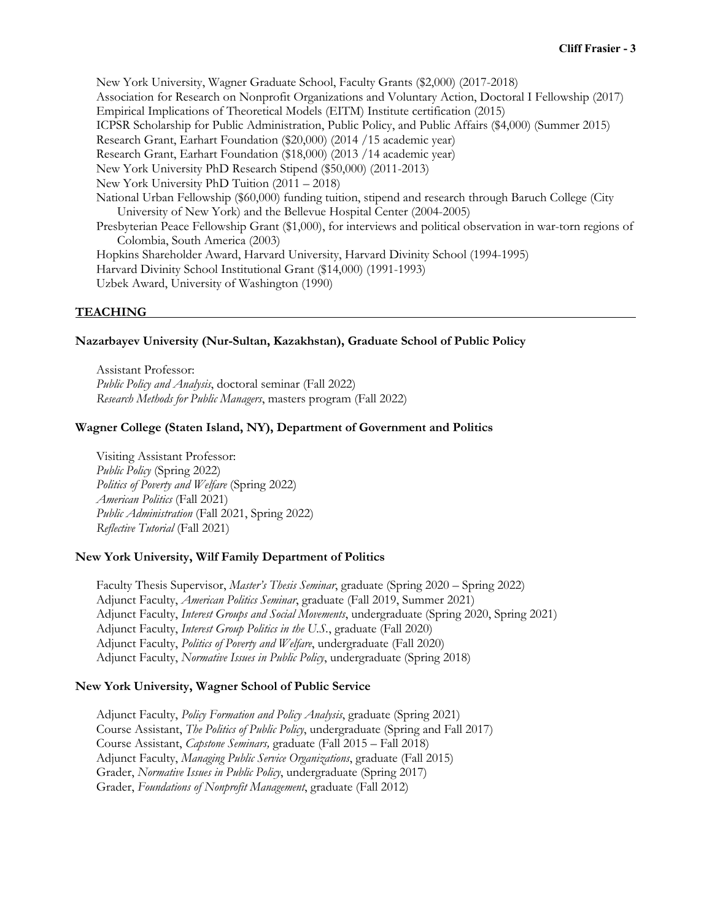New York University, Wagner Graduate School, Faculty Grants (\$2,000) (2017-2018) Association for Research on Nonprofit Organizations and Voluntary Action, Doctoral I Fellowship (2017) Empirical Implications of Theoretical Models (EITM) Institute certification (2015) ICPSR Scholarship for Public Administration, Public Policy, and Public Affairs (\$4,000) (Summer 2015) Research Grant, Earhart Foundation (\$20,000) (2014 /15 academic year) Research Grant, Earhart Foundation (\$18,000) (2013 /14 academic year) New York University PhD Research Stipend (\$50,000) (2011-2013) New York University PhD Tuition (2011 – 2018) National Urban Fellowship (\$60,000) funding tuition, stipend and research through Baruch College (City University of New York) and the Bellevue Hospital Center (2004-2005) Presbyterian Peace Fellowship Grant (\$1,000), for interviews and political observation in war-torn regions of Colombia, South America (2003) Hopkins Shareholder Award, Harvard University, Harvard Divinity School (1994-1995) Harvard Divinity School Institutional Grant (\$14,000) (1991-1993) Uzbek Award, University of Washington (1990)

# **TEACHING**

### **Nazarbayev University (Nur-Sultan, Kazakhstan), Graduate School of Public Policy**

Assistant Professor: *Public Policy and Analysis*, doctoral seminar (Fall 2022) *Research Methods for Public Managers*, masters program (Fall 2022)

# **Wagner College (Staten Island, NY), Department of Government and Politics**

Visiting Assistant Professor: *Public Policy* (Spring 2022) *Politics of Poverty and Welfare* (Spring 2022) *American Politics* (Fall 2021) *Public Administration* (Fall 2021, Spring 2022) *Reflective Tutorial* (Fall 2021)

### **New York University, Wilf Family Department of Politics**

Faculty Thesis Supervisor, *Master's Thesis Seminar*, graduate (Spring 2020 – Spring 2022) Adjunct Faculty, *American Politics Seminar*, graduate (Fall 2019, Summer 2021) Adjunct Faculty, *Interest Groups and Social Movements*, undergraduate (Spring 2020, Spring 2021) Adjunct Faculty, *Interest Group Politics in the U.S.*, graduate (Fall 2020) Adjunct Faculty, *Politics of Poverty and Welfare*, undergraduate (Fall 2020) Adjunct Faculty, *Normative Issues in Public Policy*, undergraduate (Spring 2018)

### **New York University, Wagner School of Public Service**

Adjunct Faculty, *Policy Formation and Policy Analysis*, graduate (Spring 2021) Course Assistant, *The Politics of Public Policy*, undergraduate (Spring and Fall 2017) Course Assistant, *Capstone Seminars,* graduate (Fall 2015 *–* Fall 2018) Adjunct Faculty, *Managing Public Service Organizations*, graduate (Fall 2015) Grader, *Normative Issues in Public Policy*, undergraduate (Spring 2017) Grader, *Foundations of Nonprofit Management*, graduate (Fall 2012)